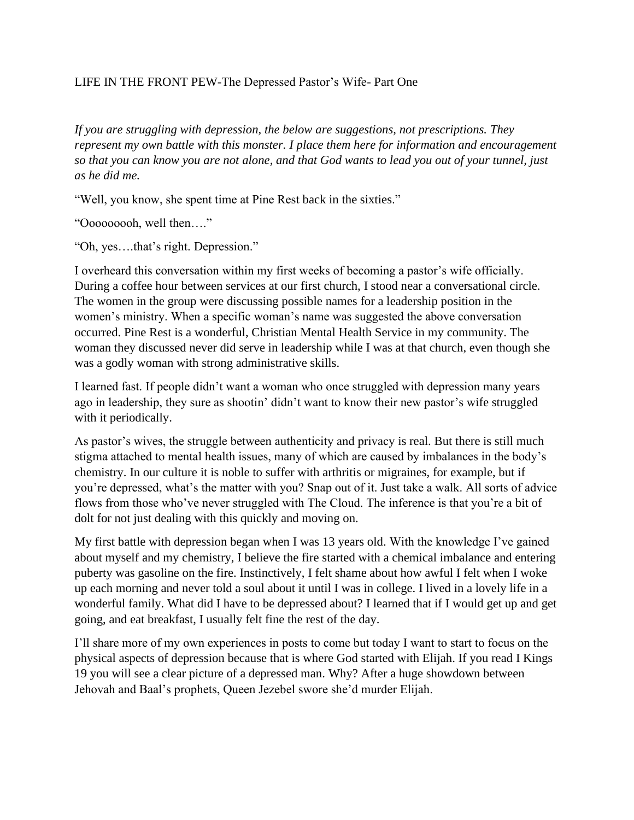## LIFE IN THE FRONT PEW-The Depressed Pastor's Wife- Part One

*If you are struggling with depression, the below are suggestions, not prescriptions. They represent my own battle with this monster. I place them here for information and encouragement so that you can know you are not alone, and that God wants to lead you out of your tunnel, just as he did me.*

"Well, you know, she spent time at Pine Rest back in the sixties."

"Ooooooooh, well then…."

"Oh, yes….that's right. Depression."

I overheard this conversation within my first weeks of becoming a pastor's wife officially. During a coffee hour between services at our first church, I stood near a conversational circle. The women in the group were discussing possible names for a leadership position in the women's ministry. When a specific woman's name was suggested the above conversation occurred. Pine Rest is a wonderful, Christian Mental Health Service in my community. The woman they discussed never did serve in leadership while I was at that church, even though she was a godly woman with strong administrative skills.

I learned fast. If people didn't want a woman who once struggled with depression many years ago in leadership, they sure as shootin' didn't want to know their new pastor's wife struggled with it periodically.

As pastor's wives, the struggle between authenticity and privacy is real. But there is still much stigma attached to mental health issues, many of which are caused by imbalances in the body's chemistry. In our culture it is noble to suffer with arthritis or migraines, for example, but if you're depressed, what's the matter with you? Snap out of it. Just take a walk. All sorts of advice flows from those who've never struggled with The Cloud. The inference is that you're a bit of dolt for not just dealing with this quickly and moving on.

My first battle with depression began when I was 13 years old. With the knowledge I've gained about myself and my chemistry, I believe the fire started with a chemical imbalance and entering puberty was gasoline on the fire. Instinctively, I felt shame about how awful I felt when I woke up each morning and never told a soul about it until I was in college. I lived in a lovely life in a wonderful family. What did I have to be depressed about? I learned that if I would get up and get going, and eat breakfast, I usually felt fine the rest of the day.

I'll share more of my own experiences in posts to come but today I want to start to focus on the physical aspects of depression because that is where God started with Elijah. If you read I Kings 19 you will see a clear picture of a depressed man. Why? After a huge showdown between Jehovah and Baal's prophets, Queen Jezebel swore she'd murder Elijah.